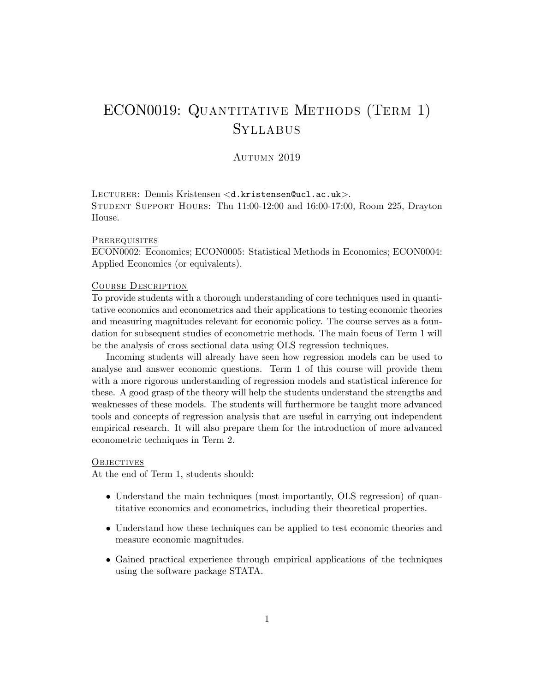# ECON0019: QUANTITATIVE METHODS (TERM 1) **SYLLABUS**

AUTUMN 2019

LECTURER: Dennis Kristensen <d.kristensen@ucl.ac.uk>. Student Support Hours: Thu 11:00-12:00 and 16:00-17:00, Room 225, Drayton House.

## **PREREQUISITES**

ECON0002: Economics; ECON0005: Statistical Methods in Economics; ECON0004: Applied Economics (or equivalents).

### Course Description

To provide students with a thorough understanding of core techniques used in quantitative economics and econometrics and their applications to testing economic theories and measuring magnitudes relevant for economic policy. The course serves as a foundation for subsequent studies of econometric methods. The main focus of Term 1 will be the analysis of cross sectional data using OLS regression techniques.

Incoming students will already have seen how regression models can be used to analyse and answer economic questions. Term 1 of this course will provide them with a more rigorous understanding of regression models and statistical inference for these. A good grasp of the theory will help the students understand the strengths and weaknesses of these models. The students will furthermore be taught more advanced tools and concepts of regression analysis that are useful in carrying out independent empirical research. It will also prepare them for the introduction of more advanced econometric techniques in Term 2.

# **OBJECTIVES**

At the end of Term 1, students should:

- Understand the main techniques (most importantly, OLS regression) of quantitative economics and econometrics, including their theoretical properties.
- Understand how these techniques can be applied to test economic theories and measure economic magnitudes.
- Gained practical experience through empirical applications of the techniques using the software package STATA.